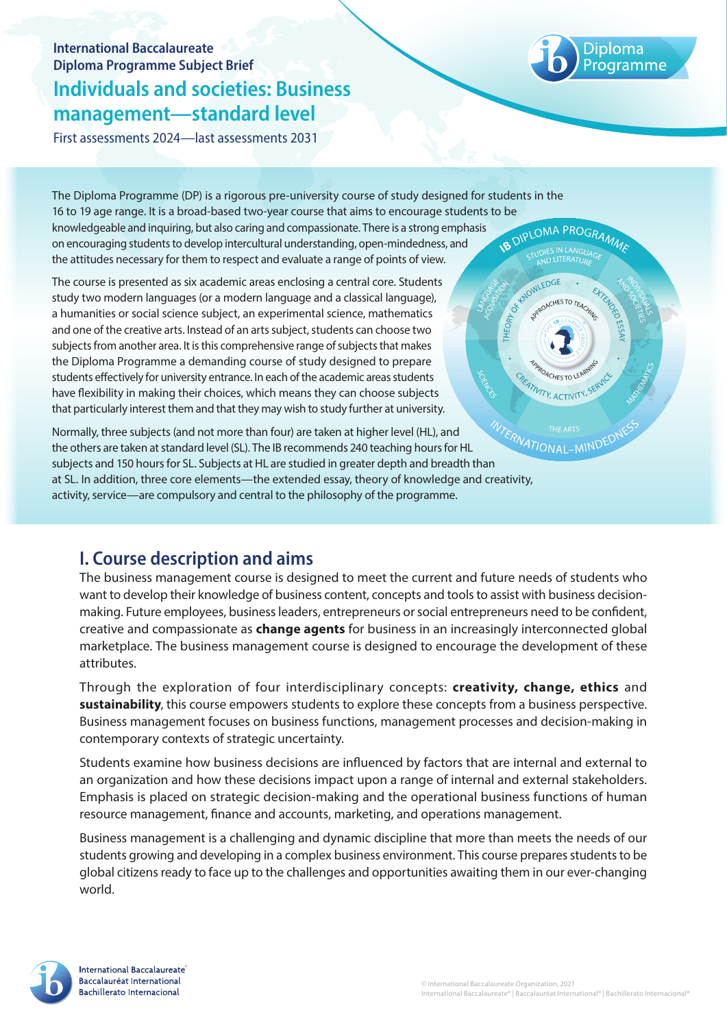## **International Baccalaureate Diploma Programme Subject Brief Individuals and societies: Business management—standard level**

First assessments 2024—last assessments 2031

THEOR<sub>V</sub>

**ATIVITY, ACTIVITY, SF** 

**MIND** 

The Diploma Programme (DP) is a rigorous pre-university course of study designed for students in the 16 to 19 age range. It is a broad-based two-year course that aims to encourage students to be knowledgeable and inquiring, but also caring and compassionate. There is a strong emphasis **B DIPLOMA PROGRAMMA** on encouraging students to develop intercultural understanding, open-mindedness, and the attitudes necessary for them to respect and evaluate a range of points of view. A OWLEDGE

a humanities or social science subject, an experimental science, mathematics and one of the creative arts. Instead of an arts subject, students can choose two subjects from another area. It is this comprehensive range of subjects that makes the Diploma Programme a demanding course of study designed to prepare students effectively for university entrance. In each of the academic areas students have flexibility in making their choices, which means they can choose subjects that particularly interest them and that they may wish to study further at university. The course is presented as six academic areas enclosing a central core. Students study two modern languages (or a modern language and a classical language),

Normally, three subjects (and not more than four) are taken at higher level (HL), and the others are taken at standard level (SL). The IB recommends 240 teaching hours for HL Normally, three subjects (and not more than four) are taken at nighter reversing subjects are taken at standard level (SL). The IB recommends 240 teaching hours for HL<br>subjects and 150 hours for SL. Subjects at HL are stud at SL. In addition, three core elements—the extended essay, theory of knowledge and creativity, activity, service—are compulsory and central to the philosophy of the programme.

# **I. Course description and aims**

The business management course is designed to meet the current and future needs of students who want to develop their knowledge of business content, concepts and tools to assist with business decisionmaking. Future employees, business leaders, entrepreneurs or social entrepreneurs need to be confident, creative and compassionate as **change agents** for business in an increasingly interconnected global marketplace. The business management course is designed to encourage the development of these attributes.

Through the exploration of four interdisciplinary concepts: **creativity, change, ethics** and **sustainability**, this course empowers students to explore these concepts from a business perspective. Business management focuses on business functions, management processes and decision-making in contemporary contexts of strategic uncertainty.

Students examine how business decisions are influenced by factors that are internal and external to an organization and how these decisions impact upon a range of internal and external stakeholders. Emphasis is placed on strategic decision-making and the operational business functions of human resource management, finance and accounts, marketing, and operations management.

Business management is a challenging and dynamic discipline that more than meets the needs of our students growing and developing in a complex business environment. This course prepares students to be global citizens ready to face up to the challenges and opportunities awaiting them in our ever-changing world.

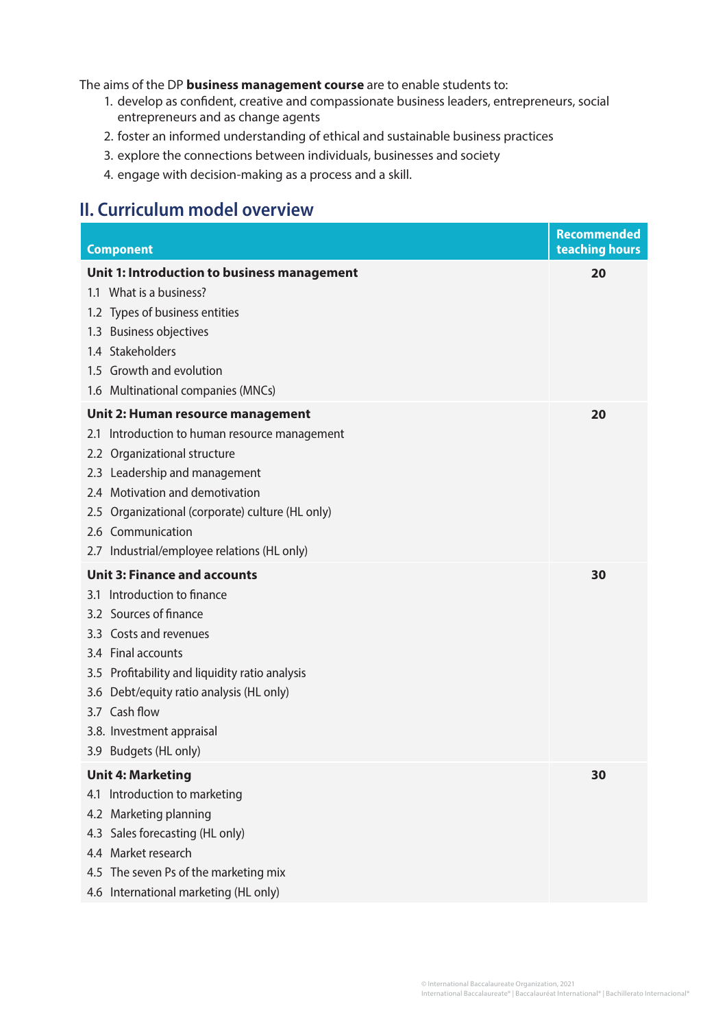The aims of the DP **business management course** are to enable students to:

- 1. develop as confident, creative and compassionate business leaders, entrepreneurs, social entrepreneurs and as change agents
- 2. foster an informed understanding of ethical and sustainable business practices
- 3. explore the connections between individuals, businesses and society
- 4. engage with decision-making as a process and a skill.

### **II. Curriculum model overview**

| <b>Component</b>                                 | Recommended<br>teaching hours |
|--------------------------------------------------|-------------------------------|
| Unit 1: Introduction to business management      | 20                            |
| 1.1 What is a business?                          |                               |
| 1.2 Types of business entities                   |                               |
| 1.3 Business objectives                          |                               |
| 1.4 Stakeholders                                 |                               |
| 1.5 Growth and evolution                         |                               |
| 1.6 Multinational companies (MNCs)               |                               |
| Unit 2: Human resource management                | 20                            |
| 2.1 Introduction to human resource management    |                               |
| 2.2 Organizational structure                     |                               |
| 2.3 Leadership and management                    |                               |
| 2.4 Motivation and demotivation                  |                               |
| 2.5 Organizational (corporate) culture (HL only) |                               |
| 2.6 Communication                                |                               |
| 2.7 Industrial/employee relations (HL only)      |                               |
| <b>Unit 3: Finance and accounts</b>              | 30                            |
| 3.1 Introduction to finance                      |                               |
| 3.2 Sources of finance                           |                               |
| 3.3 Costs and revenues                           |                               |
| 3.4 Final accounts                               |                               |
| 3.5 Profitability and liquidity ratio analysis   |                               |
| 3.6 Debt/equity ratio analysis (HL only)         |                               |
| 3.7 Cash flow                                    |                               |
| 3.8. Investment appraisal                        |                               |
| 3.9 Budgets (HL only)                            |                               |
| <b>Unit 4: Marketing</b>                         | 30                            |
| 4.1 Introduction to marketing                    |                               |
| 4.2 Marketing planning                           |                               |
| 4.3 Sales forecasting (HL only)                  |                               |
| 4.4 Market research                              |                               |
| 4.5 The seven Ps of the marketing mix            |                               |
| 4.6 International marketing (HL only)            |                               |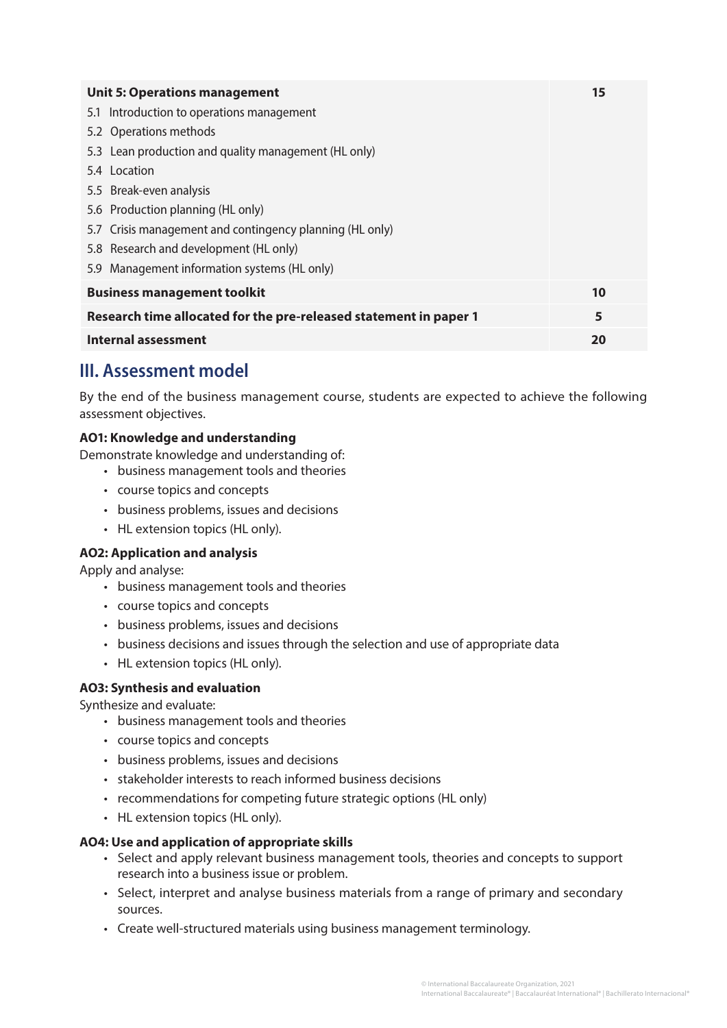| <b>Unit 5: Operations management</b>                              | 15 |
|-------------------------------------------------------------------|----|
| 5.1 Introduction to operations management                         |    |
| 5.2 Operations methods                                            |    |
| 5.3 Lean production and quality management (HL only)              |    |
| 5.4 Location                                                      |    |
| 5.5 Break-even analysis                                           |    |
| 5.6 Production planning (HL only)                                 |    |
| 5.7 Crisis management and contingency planning (HL only)          |    |
| 5.8 Research and development (HL only)                            |    |
| 5.9 Management information systems (HL only)                      |    |
| <b>Business management toolkit</b>                                | 10 |
| Research time allocated for the pre-released statement in paper 1 | 5  |
| Internal assessment                                               | 20 |

## **III. Assessment model**

By the end of the business management course, students are expected to achieve the following assessment objectives.

### **AO1: Knowledge and understanding**

Demonstrate knowledge and understanding of:

- business management tools and theories
- course topics and concepts
- business problems, issues and decisions
- HL extension topics (HL only).

#### **AO2: Application and analysis**

Apply and analyse:

- business management tools and theories
- course topics and concepts
- business problems, issues and decisions
- business decisions and issues through the selection and use of appropriate data
- HL extension topics (HL only).

#### **AO3: Synthesis and evaluation**

Synthesize and evaluate:

- business management tools and theories
- course topics and concepts
- business problems, issues and decisions
- stakeholder interests to reach informed business decisions
- recommendations for competing future strategic options (HL only)
- HL extension topics (HL only).

#### **AO4: Use and application of appropriate skills**

- Select and apply relevant business management tools, theories and concepts to support research into a business issue or problem.
- Select, interpret and analyse business materials from a range of primary and secondary sources.
- Create well-structured materials using business management terminology.